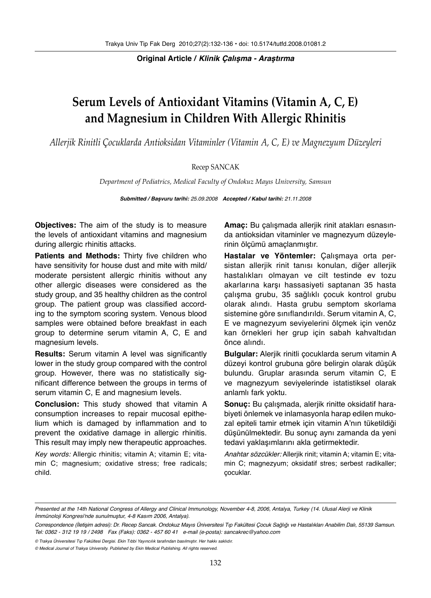**Original Article / Klinik Çalışma - Araştırma**

# **Serum Levels of Antioxidant Vitamins (Vitamin A, C, E) and Magnesium in Children With Allergic Rhinitis**

*Allerjik Rinitli Çocuklarda Antioksidan Vitaminler (Vitamin A, C, E) ve Magnezyum Düzeyleri*

# Recep SANCAK

*Department of Pediatrics, Medical Faculty of Ondokuz Mayıs University, Samsun*

**Submitted / Başvuru tarihi:** 25.09.2008 **Accepted / Kabul tarihi:** 21.11.2008

**Objectives:** The aim of the study is to measure the levels of antioxidant vitamins and magnesium during allergic rhinitis attacks.

**Patients and Methods:** Thirty five children who have sensitivity for house dust and mite with mild/ moderate persistent allergic rhinitis without any other allergic diseases were considered as the study group, and 35 healthy children as the control group. The patient group was classified according to the symptom scoring system. Venous blood samples were obtained before breakfast in each group to determine serum vitamin A, C, E and magnesium levels.

**Results:** Serum vitamin A level was significantly lower in the study group compared with the control group. However, there was no statistically significant difference between the groups in terms of serum vitamin C, E and magnesium levels.

**Conclusion:** This study showed that vitamin A consumption increases to repair mucosal epithelium which is damaged by inflammation and to prevent the oxidative damage in allergic rhinitis. This result may imply new therapeutic approaches.

Key words: Allergic rhinitis; vitamin A; vitamin E; vitamin C; magnesium; oxidative stress; free radicals; child.

**Amaç:** Bu çalışmada allerjik rinit atakları esnasında antioksidan vitaminler ve magnezyum düzeylerinin ölçümü amaçlanmıştır.

**Hastalar ve Yöntemler:** Çalışmaya orta persistan allerjik rinit tanısı konulan, diğer allerjik hastalıkları olmayan ve cilt testinde ev tozu akarlarına karşı hassasiyeti saptanan 35 hasta çalışma grubu, 35 sağlıklı çocuk kontrol grubu olarak alındı. Hasta grubu semptom skorlama sistemine göre sınıflandırıldı. Serum vitamin A, C, E ve magnezyum seviyelerini ölçmek için venöz kan örnekleri her grup için sabah kahvaltıdan önce alındı.

**Bulgular:** Alerjik rinitli çocuklarda serum vitamin A düzeyi kontrol grubuna göre belirgin olarak düşük bulundu. Gruplar arasında serum vitamin C, E ve magnezyum seviyelerinde istatistiksel olarak anlamlı fark yoktu.

**Sonuç:** Bu çalışmada, alerjik rinitte oksidatif harabiyeti önlemek ve inlamasyonla harap edilen mukozal epiteli tamir etmek için vitamin A'nın tüketildiği düşünülmektedir. Bu sonuç aynı zamanda da yeni tedavi yaklaşımlarını akla getirmektedir.

Anahtar sözcükler: Allerjik rinit; vitamin A; vitamin E; vitamin C; magnezyum; oksidatif stres; serbest radikaller; çocuklar.

© Trakya Üniversitesi Tıp Fakültesi Dergisi. Ekin Tıbbi Yayıncılık tarafından basılmıştır. Her hakkı saklıdır.

Presented at the 14th National Congress of Allergy and Clinical Immunology, November 4-8, 2006, Antalya, Turkey (14. Ulusal Alerji ve Klinik İmmünoloji Kongresi'nde sunulmuştur, 4-8 Kasım 2006, Antalya).

Correspondence (İletişim adresi): Dr. Recep Sancak. Ondokuz Mayıs Üniversitesi Tıp Fakültesi Çocuk Sağlığı ve Hastalıkları Anabilim Dalı, 55139 Samsun. Tel: 0362 - 312 19 19 / 2498 Fax (Faks): 0362 - 457 60 41 e-mail (e-posta): sancakrec@yahoo.com

<sup>©</sup> Medical Journal of Trakya University. Published by Ekin Medical Publishing. All rights reserved.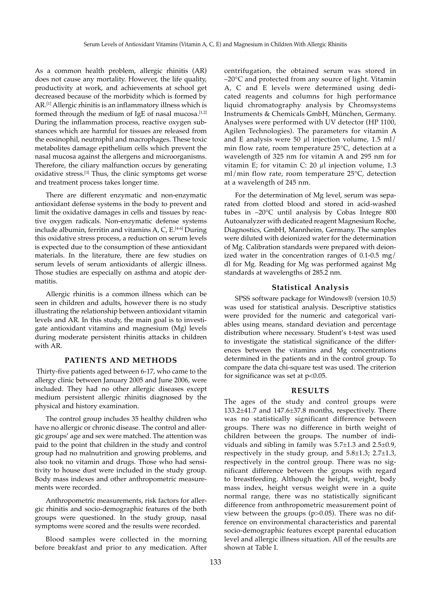As a common health problem, allergic rhinitis (AR) does not cause any mortality. However, the life quality, productivity at work, and achievements at school get decreased because of the morbidity which is formed by AR.[1] Allergic rhinitis is an inflammatory illness which is formed through the medium of IgE of nasal mucosa.<sup>[1,2]</sup> During the inflammation process, reactive oxygen substances which are harmful for tissues are released from the eosinophil, neutrophil and macrophages. These toxic metabolites damage epithelium cells which prevent the nasal mucosa against the allergens and microorganisms. Therefore, the ciliary malfunction occurs by generating oxidative stress.[3] Thus, the clinic symptoms get worse and treatment process takes longer time.

There are different enzymatic and non-enzymatic antioxidant defense systems in the body to prevent and limit the oxidative damages in cells and tissues by reactive oxygen radicals. Non-enzymatic defense systems include albumin, ferritin and vitamins A, C, E.<sup>[4-6]</sup> During this oxidative stress process, a reduction on serum levels is expected due to the consumption of these antioxidant materials. In the literature, there are few studies on serum levels of serum antioxidants of allergic illness. Those studies are especially on asthma and atopic dermatitis.

Allergic rhinitis is a common illness which can be seen in children and adults, however there is no study illustrating the relationship between antioxidant vitamin levels and AR. In this study, the main goal is to investigate antioxidant vitamins and magnesium (Mg) levels during moderate persistent rhinitis attacks in children with AR.

# **PATIENTS AND METHODS**

 Thirty-five patients aged between 6-17, who came to the allergy clinic between January 2005 and June 2006, were included. They had no other allergic diseases except medium persistent allergic rhinitis diagnosed by the physical and history examination.

The control group includes 35 healthy children who have no allergic or chronic disease. The control and allergic groups' age and sex were matched. The attention was paid to the point that children in the study and control group had no malnutrition and growing problems, and also took no vitamin and drugs. Those who had sensitivity to house dust were included in the study group. Body mass indexes and other anthropometric measurements were recorded.

Anthropometric measurements, risk factors for allergic rhinitis and socio-demographic features of the both groups were questioned. In the study group, nasal symptoms were scored and the results were recorded.

Blood samples were collected in the morning before breakfast and prior to any medication. After

centrifugation, the obtained serum was stored in –20°C and protected from any source of light. Vitamin A, C and E levels were determined using dedicated reagents and columns for high performance liquid chromatography analysis by Chromsystems Instruments & Chemicals GmbH, München, Germany. Analyses were performed with UV detector (HP 1100, Agilen Technologies). The parameters for vitamin A and E analysis were 50  $\mu$ l injection volume, 1.5 ml/ min flow rate, room temperature 25°C, detection at a wavelength of 325 nm for vitamin A and 295 nm for vitamin E; for vitamin C: 20 μl injection volume, 1.3 ml/min flow rate, room temperature 25°C, detection at a wavelength of 245 nm.

For the determination of Mg level, serum was separated from clotted blood and stored in acid-washed tubes in –20°C until analysis by Cobas Integre 800 Autoanalyzer with dedicated reagent Magnesium Roche, Diagnostics, GmbH, Mannheim, Germany. The samples were diluted with deionized water for the determination of Mg. Calibration standards were prepared with deionized water in the concentration ranges of 0.1-0.5 mg/ dl for Mg. Reading for Mg was performed against Mg standards at wavelengths of 285.2 nm.

## **Statistical Analysis**

SPSS software package for Windows® (version 10.5) was used for statistical analysis. Descriptive statistics were provided for the numeric and categorical variables using means, standard deviation and percentage distribution where necessary. Student's t-test was used to investigate the statistical significance of the differences between the vitamins and Mg concentrations determined in the patients and in the control group. To compare the data chi-square test was used. The criterion for significance was set at  $p<0.05$ .

### **RESULTS**

The ages of the study and control groups were 133.2±41.7 and 147.6±37.8 months, respectively. There was no statistically significant difference between groups. There was no difference in birth weight of children between the groups. The number of individuals and sibling in family was 5.7±1.3 and 2.5±0.9, respectively in the study group, and 5.8±1.3; 2.7±1.3, respectively in the control group. There was no significant difference between the groups with regard to breastfeeding. Although the height, weight, body mass index, height versus weight were in a quite normal range, there was no statistically significant difference from anthropometric measurement point of view between the groups (p>0.05). There was no difference on environmental characteristics and parental socio-demographic features except parental education level and allergic illness situation. All of the results are shown at Table I.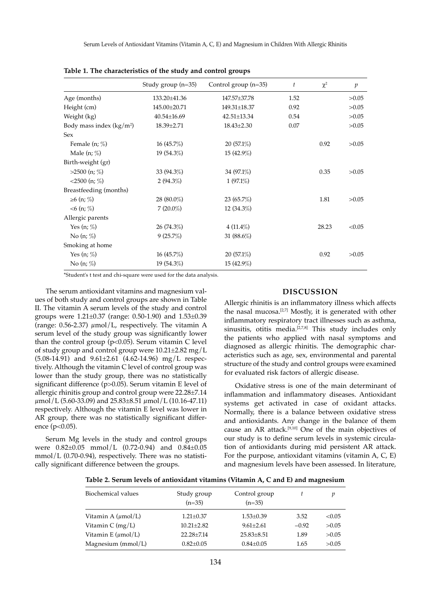|                           | Study group $(n=35)$ | Control group $(n=35)$ | $\mathfrak{t}$ | $\chi^2$ | $\boldsymbol{p}$ |
|---------------------------|----------------------|------------------------|----------------|----------|------------------|
| Age (months)              | 133.20±41.36         | 147.57±37.78           | 1.52           |          | >0.05            |
| Height (cm)               | 145.00±20.71         | 149.31±18.37           | 0.92           |          | >0.05            |
| Weight (kg)               | 40.54±16.69          | 42.51±13.34            | 0.54           |          | >0.05            |
| Body mass index $(kg/m2)$ | 18.39±2.71           | $18.43 \pm 2.30$       | 0.07           |          | >0.05            |
| Sex                       |                      |                        |                |          |                  |
| Female (n; %)             | 16(45.7%)            | $20(57.1\%)$           |                | 0.92     | >0.05            |
| Male $(n; \%)$            | 19(54.3%)            | 15 (42.9%)             |                |          |                  |
| Birth-weight (gr)         |                      |                        |                |          |                  |
| $>2500$ (n; %)            | 33 (94.3%)           | 34 (97.1%)             |                | 0.35     | >0.05            |
| $<$ 2500 (n; %)           | 2(94.3%)             | $1(97.1\%)$            |                |          |                  |
| Breastfeeding (months)    |                      |                        |                |          |                  |
| ≥6 (n; %)                 | 28 $(80.0\%)$        | $23(65.7\%)$           |                | 1.81     | >0.05            |
| $<6$ (n; %)               | $7(20.0\%)$          | 12 (34.3%)             |                |          |                  |
| Allergic parents          |                      |                        |                |          |                  |
| Yes $(n; \%)$             | 26(74.3%)            | $4(11.4\%)$            |                | 28.23    | < 0.05           |
| No $(n; \%)$              | 9(25.7%)             | 31 $(88.6\%)$          |                |          |                  |
| Smoking at home           |                      |                        |                |          |                  |
| Yes $(n; \%)$             | 16(45.7%)            | $20(57.1\%)$           |                | 0.92     | >0.05            |
| No $(n; \%)$              | 19(54.3%)            | 15 (42.9%)             |                |          |                  |
|                           |                      |                        |                |          |                  |

**Table 1. The characteristics of the study and control groups**

\*Student's t test and chi-square were used for the data analysis.

The serum antioxidant vitamins and magnesium values of both study and control groups are shown in Table II. The vitamin A serum levels of the study and control groups were 1.21±0.37 (range: 0.50-1.90) and 1.53±0.39 (range: 0.56-2.37) μmol/L, respectively. The vitamin A serum level of the study group was significantly lower than the control group  $(p<0.05)$ . Serum vitamin C level of study group and control group were 10.21±2.82 mg/L (5.08-14.91) and 9.61±2.61 (4.62-14.96) mg/L respectively. Although the vitamin C level of control group was lower than the study group, there was no statistically significant difference (p>0.05). Serum vitamin E level of allergic rhinitis group and control group were 22.28±7.14  $\mu$ mol/L (5.60-33.09) and 25.83±8.51  $\mu$ mol/L (10.16-47.11) respectively. Although the vitamin E level was lower in AR group, there was no statistically significant difference ( $p<0.05$ ).

Serum Mg levels in the study and control groups were 0.82±0.05 mmol/L (0.72-0.94) and 0.84±0.05 mmol/L (0.70-0.94), respectively. There was no statistically significant difference between the groups.

#### **DISCUSSION**

Allergic rhinitis is an inflammatory illness which affects the nasal mucosa.<sup>[2,7]</sup> Mostly, it is generated with other inflammatory respiratory tract illnesses such as asthma, sinusitis, otitis media.<sup>[2,7,8]</sup> This study includes only the patients who applied with nasal symptoms and diagnosed as allergic rhinitis. The demographic characteristics such as age, sex, environmental and parental structure of the study and control groups were examined for evaluated risk factors of allergic disease.

Oxidative stress is one of the main determinant of inflammation and inflammatory diseases. Antioxidant systems get activated in case of oxidant attacks. Normally, there is a balance between oxidative stress and antioxidants. Any change in the balance of them cause an AR attack.[9,10] One of the main objectives of our study is to define serum levels in systemic circulation of antioxidants during mid persistent AR attack. For the purpose, antioxidant vitamins (vitamin A, C, E) and magnesium levels have been assessed. In literature,

| Table 2. Serum levels of antioxidant vitamins (Vitamin A, C and E) and magnesium |  |  |  |
|----------------------------------------------------------------------------------|--|--|--|
|----------------------------------------------------------------------------------|--|--|--|

| Biochemical values             | Study group<br>$(n=35)$ | Control group<br>$(n=35)$ |         | v      |
|--------------------------------|-------------------------|---------------------------|---------|--------|
| Vitamin A $(\mu \text{mol/L})$ | $1.21 \pm 0.37$         | $1.53 \pm 0.39$           | 3.52    | < 0.05 |
| Vitamin C $(mg/L)$             | $10.21 + 2.82$          | $9.61 + 2.61$             | $-0.92$ | >0.05  |
| Vitamin E $(\mu \text{mol/L})$ | $22.28 + 7.14$          | $25.83 + 8.51$            | 1.89    | >0.05  |
| Magnesium (mmol/L)             | $0.82{\pm}0.05$         | $0.84 \pm 0.05$           | 1.65    | >0.05  |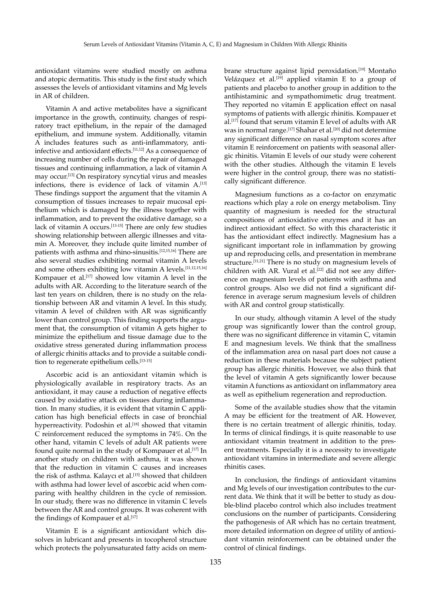antioxidant vitamins were studied mostly on asthma and atopic dermatitis. This study is the first study which assesses the levels of antioxidant vitamins and Mg levels in AR of children.

Vitamin A and active metabolites have a significant importance in the growth, continuity, changes of respiratory tract epithelium, in the repair of the damaged epithelium, and immune system. Additionally, vitamin A includes features such as anti-inflammatory, antiinfective and antioxidant effects.[11,12] As a consequence of increasing number of cells during the repair of damaged tissues and continuing inflammation, a lack of vitamin A may occur.[13] On respiratory syncytial virus and measles infections, there is evidence of lack of vitamin A.[13] These findings support the argument that the vitamin A consumption of tissues increases to repair mucosal epithelium which is damaged by the illness together with inflammation, and to prevent the oxidative damage, so a lack of vitamin A occurs.<sup>[13-15]</sup> There are only few studies showing relationship between allergic illnesses and vitamin A. Moreover, they include quite limited number of patients with asthma and rhino-sinusitis.[12,15,16] There are also several studies exhibiting normal vitamin A levels and some others exhibiting low vitamin A levels.[11,12,15,16] Kompauer et al.[17] showed low vitamin A level in the adults with AR. According to the literature search of the last ten years on children, there is no study on the relationship between AR and vitamin A level. In this study, vitamin A level of children with AR was significantly lower than control group. This finding supports the argument that, the consumption of vitamin A gets higher to minimize the epithelium and tissue damage due to the oxidative stress generated during inflammation process of allergic rhinitis attacks and to provide a suitable condition to regenerate epithelium cells.<sup>[13-15]</sup>

Ascorbic acid is an antioxidant vitamin which is physiologically available in respiratory tracts. As an antioxidant, it may cause a reduction of negative effects caused by oxidative attack on tissues during inflammation. In many studies, it is evident that vitamin C application has high beneficial effects in case of bronchial hyperreactivity. Podoshin et al.<sup>[18]</sup> showed that vitamin C reinforcement reduced the symptoms in 74%. On the other hand, vitamin C levels of adult AR patients were found quite normal in the study of Kompauer et al.<sup>[17]</sup> In another study on children with asthma, it was shown that the reduction in vitamin C causes and increases the risk of asthma. Kalaycı et al.<sup>[15]</sup> showed that children with asthma had lower level of ascorbic acid when comparing with healthy children in the cycle of remission. In our study, there was no difference in vitamin C levels between the AR and control groups. It was coherent with the findings of Kompauer et al.<sup>[17]</sup>

Vitamin E is a significant antioxidant which dissolves in lubricant and presents in tocopherol structure which protects the polyunsaturated fatty acids on membrane structure against lipid peroxidation.[19] Montaño Velázquez et al.<sup>[19]</sup> applied vitamin E to a group of patients and placebo to another group in addition to the antihistaminic and sympathomimetic drug treatment. They reported no vitamin E application effect on nasal symptoms of patients with allergic rhinitis. Kompauer et al.[17] found that serum vitamin E level of adults with AR was in normal range.<sup>[17]</sup> Shahar et al.<sup>[20]</sup> did not determine any significant difference on nasal symptom scores after vitamin E reinforcement on patients with seasonal allergic rhinitis. Vitamin E levels of our study were coherent with the other studies. Although the vitamin E levels were higher in the control group, there was no statistically significant difference.

Magnesium functions as a co-factor on enzymatic reactions which play a role on energy metabolism. Tiny quantity of magnesium is needed for the structural compositions of antioxidative enzymes and it has an indirect antioxidant effect. So with this characteristic it has the antioxidant effect indirectly. Magnesium has a significant important role in inflammation by growing up and reproducing cells, and presentation in membrane structure.<sup>[11,21]</sup> There is no study on magnesium levels of children with AR. Vural et al.<sup>[22]</sup> did not see any difference on magnesium levels of patients with asthma and control groups. Also we did not find a significant difference in average serum magnesium levels of children with AR and control group statistically.

In our study, although vitamin A level of the study group was significantly lower than the control group, there was no significant difference in vitamin C, vitamin E and magnesium levels. We think that the smallness of the inflammation area on nasal part does not cause a reduction in these materials because the subject patient group has allergic rhinitis. However, we also think that the level of vitamin A gets significantly lower because vitamin A functions as antioxidant on inflammatory area as well as epithelium regeneration and reproduction.

Some of the available studies show that the vitamin A may be efficient for the treatment of AR. However, there is no certain treatment of allergic rhinitis, today. In terms of clinical findings, it is quite reasonable to use antioxidant vitamin treatment in addition to the present treatments. Especially it is a necessity to investigate antioxidant vitamins in intermediate and severe allergic rhinitis cases.

In conclusion, the findings of antioxidant vitamins and Mg levels of our investigation contributes to the current data. We think that it will be better to study as double-blind placebo control which also includes treatment conclusions on the number of participants. Considering the pathogenesis of AR which has no certain treatment, more detailed information on degree of utility of antioxidant vitamin reinforcement can be obtained under the control of clinical findings.